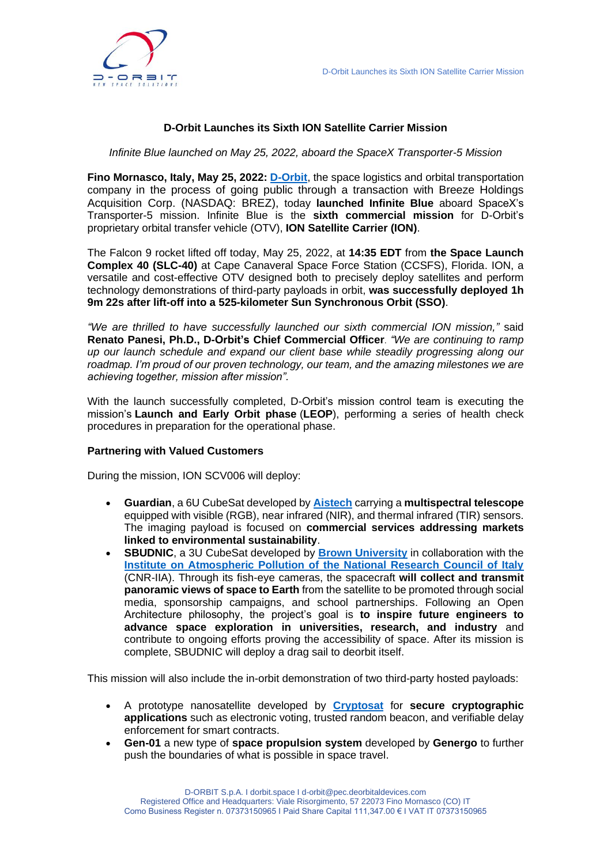

### **D-Orbit Launches its Sixth ION Satellite Carrier Mission**

*Infinite Blue launched on May 25, 2022, aboard the SpaceX Transporter-5 Mission*

**Fino Mornasco, Italy, May 25, 2022: [D-Orbit](http://www.dorbit.space/)**, the space logistics and orbital transportation company in the process of going public through a transaction with Breeze Holdings Acquisition Corp. (NASDAQ: BREZ), today **launched Infinite Blue** aboard SpaceX's Transporter-5 mission. Infinite Blue is the **sixth commercial mission** for D-Orbit's proprietary orbital transfer vehicle (OTV), **ION Satellite Carrier (ION)**.

The Falcon 9 rocket lifted off today, May 25, 2022, at **14:35 EDT** from **the Space Launch Complex 40 (SLC-40)** at Cape Canaveral Space Force Station (CCSFS), Florida. ION, a versatile and cost-effective OTV designed both to precisely deploy satellites and perform technology demonstrations of third-party payloads in orbit, **was successfully deployed 1h 9m 22s after lift-off into a 525-kilometer Sun Synchronous Orbit (SSO)**.

*"We are thrilled to have successfully launched our sixth commercial ION mission,"* said **Renato Panesi, Ph.D., D-Orbit's Chief Commercial Officer**. *"We are continuing to ramp up our launch schedule and expand our client base while steadily progressing along our roadmap. I'm proud of our proven technology, our team, and the amazing milestones we are achieving together, mission after mission".* 

With the launch successfully completed, D-Orbit's mission control team is executing the mission's **Launch and Early Orbit phase** (**LEOP**), performing a series of health check procedures in preparation for the operational phase.

#### **Partnering with Valued Customers**

During the mission, ION SCV006 will deploy:

- **Guardian**, a 6U CubeSat developed by **[Aistech](https://aistechspace.com/)** carrying a **multispectral telescope** equipped with visible (RGB), near infrared (NIR), and thermal infrared (TIR) sensors. The imaging payload is focused on **commercial services addressing markets linked to environmental sustainability**.
- **SBUDNIC**, a 3U CubeSat developed by **[Brown University](https://www.brown.edu/)** in collaboration with the **[Institute on Atmospheric Pollution of the National Research Council of Italy](https://iia.cnr.it/)** (CNR-IIA). Through its fish-eye cameras, the spacecraft **will collect and transmit panoramic views of space to Earth** from the satellite to be promoted through social media, sponsorship campaigns, and school partnerships. Following an Open Architecture philosophy, the project's goal is **to inspire future engineers to advance space exploration in universities, research, and industry** and contribute to ongoing efforts proving the accessibility of space. After its mission is complete, SBUDNIC will deploy a drag sail to deorbit itself.

This mission will also include the in-orbit demonstration of two third-party hosted payloads:

- A prototype nanosatellite developed by **[Cryptosat](https://cryptosat.io/)** for **secure cryptographic applications** such as electronic voting, trusted random beacon, and verifiable delay enforcement for smart contracts.
- **Gen-01** a new type of **space propulsion system** developed by **Genergo** to further push the boundaries of what is possible in space travel.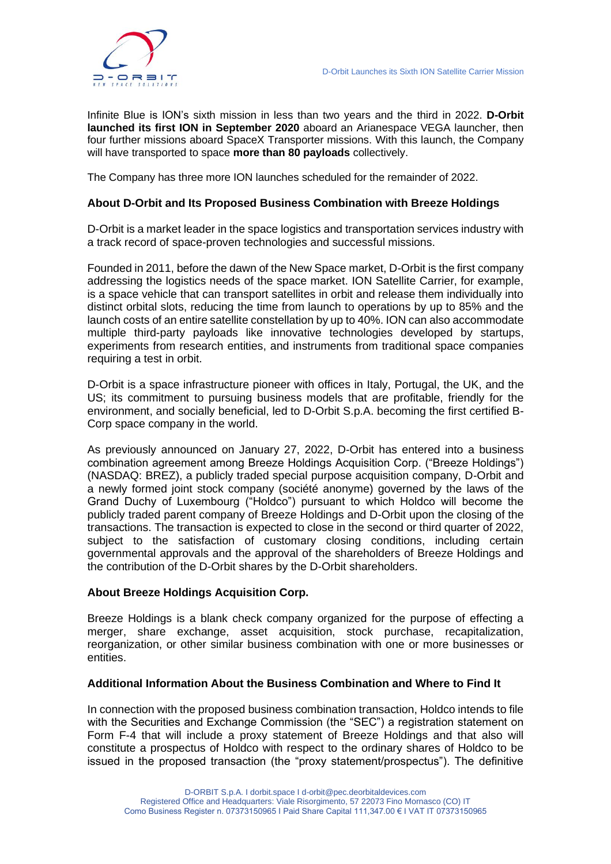

Infinite Blue is ION's sixth mission in less than two years and the third in 2022. **D-Orbit launched its first ION in September 2020** aboard an Arianespace VEGA launcher, then four further missions aboard SpaceX Transporter missions. With this launch, the Company will have transported to space **more than 80 payloads** collectively.

The Company has three more ION launches scheduled for the remainder of 2022.

## **About D-Orbit and Its Proposed Business Combination with Breeze Holdings**

D-Orbit is a market leader in the space logistics and transportation services industry with a track record of space-proven technologies and successful missions.

Founded in 2011, before the dawn of the New Space market, D-Orbit is the first company addressing the logistics needs of the space market. ION Satellite Carrier, for example, is a space vehicle that can transport satellites in orbit and release them individually into distinct orbital slots, reducing the time from launch to operations by up to 85% and the launch costs of an entire satellite constellation by up to 40%. ION can also accommodate multiple third-party payloads like innovative technologies developed by startups, experiments from research entities, and instruments from traditional space companies requiring a test in orbit.

D-Orbit is a space infrastructure pioneer with offices in Italy, Portugal, the UK, and the US; its commitment to pursuing business models that are profitable, friendly for the environment, and socially beneficial, led to D-Orbit S.p.A. becoming the first certified B-Corp space company in the world.

As previously announced on January 27, 2022, D-Orbit has entered into a business combination agreement among Breeze Holdings Acquisition Corp. ("Breeze Holdings") (NASDAQ: BREZ), a publicly traded special purpose acquisition company, D-Orbit and a newly formed joint stock company (société anonyme) governed by the laws of the Grand Duchy of Luxembourg ("Holdco") pursuant to which Holdco will become the publicly traded parent company of Breeze Holdings and D-Orbit upon the closing of the transactions. The transaction is expected to close in the second or third quarter of 2022, subject to the satisfaction of customary closing conditions, including certain governmental approvals and the approval of the shareholders of Breeze Holdings and the contribution of the D-Orbit shares by the D-Orbit shareholders.

# **About Breeze Holdings Acquisition Corp.**

Breeze Holdings is a blank check company organized for the purpose of effecting a merger, share exchange, asset acquisition, stock purchase, recapitalization, reorganization, or other similar business combination with one or more businesses or entities.

# **Additional Information About the Business Combination and Where to Find It**

In connection with the proposed business combination transaction, Holdco intends to file with the Securities and Exchange Commission (the "SEC") a registration statement on Form F-4 that will include a proxy statement of Breeze Holdings and that also will constitute a prospectus of Holdco with respect to the ordinary shares of Holdco to be issued in the proposed transaction (the "proxy statement/prospectus"). The definitive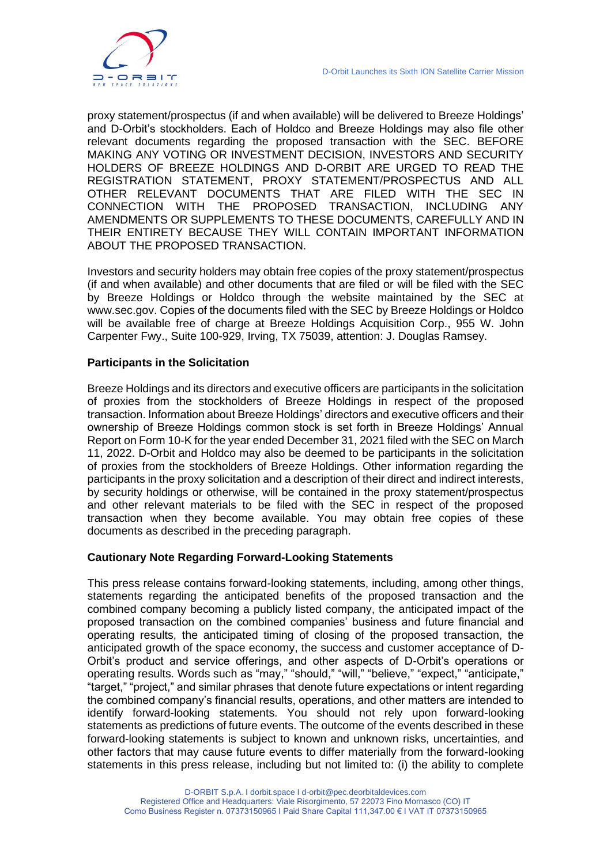

proxy statement/prospectus (if and when available) will be delivered to Breeze Holdings' and D-Orbit's stockholders. Each of Holdco and Breeze Holdings may also file other relevant documents regarding the proposed transaction with the SEC. BEFORE MAKING ANY VOTING OR INVESTMENT DECISION, INVESTORS AND SECURITY HOLDERS OF BREEZE HOLDINGS AND D-ORBIT ARE URGED TO READ THE REGISTRATION STATEMENT, PROXY STATEMENT/PROSPECTUS AND ALL OTHER RELEVANT DOCUMENTS THAT ARE FILED WITH THE SEC IN CONNECTION WITH THE PROPOSED TRANSACTION, INCLUDING ANY AMENDMENTS OR SUPPLEMENTS TO THESE DOCUMENTS, CAREFULLY AND IN THEIR ENTIRETY BECAUSE THEY WILL CONTAIN IMPORTANT INFORMATION ABOUT THE PROPOSED TRANSACTION.

Investors and security holders may obtain free copies of the proxy statement/prospectus (if and when available) and other documents that are filed or will be filed with the SEC by Breeze Holdings or Holdco through the website maintained by the SEC at www.sec.gov. Copies of the documents filed with the SEC by Breeze Holdings or Holdco will be available free of charge at Breeze Holdings Acquisition Corp., 955 W. John Carpenter Fwy., Suite 100-929, Irving, TX 75039, attention: J. Douglas Ramsey.

# **Participants in the Solicitation**

Breeze Holdings and its directors and executive officers are participants in the solicitation of proxies from the stockholders of Breeze Holdings in respect of the proposed transaction. Information about Breeze Holdings' directors and executive officers and their ownership of Breeze Holdings common stock is set forth in Breeze Holdings' Annual Report on Form 10-K for the year ended December 31, 2021 filed with the SEC on March 11, 2022. D-Orbit and Holdco may also be deemed to be participants in the solicitation of proxies from the stockholders of Breeze Holdings. Other information regarding the participants in the proxy solicitation and a description of their direct and indirect interests, by security holdings or otherwise, will be contained in the proxy statement/prospectus and other relevant materials to be filed with the SEC in respect of the proposed transaction when they become available. You may obtain free copies of these documents as described in the preceding paragraph.

# **Cautionary Note Regarding Forward-Looking Statements**

This press release contains forward-looking statements, including, among other things, statements regarding the anticipated benefits of the proposed transaction and the combined company becoming a publicly listed company, the anticipated impact of the proposed transaction on the combined companies' business and future financial and operating results, the anticipated timing of closing of the proposed transaction, the anticipated growth of the space economy, the success and customer acceptance of D-Orbit's product and service offerings, and other aspects of D-Orbit's operations or operating results. Words such as "may," "should," "will," "believe," "expect," "anticipate," "target," "project," and similar phrases that denote future expectations or intent regarding the combined company's financial results, operations, and other matters are intended to identify forward-looking statements. You should not rely upon forward-looking statements as predictions of future events. The outcome of the events described in these forward-looking statements is subject to known and unknown risks, uncertainties, and other factors that may cause future events to differ materially from the forward-looking statements in this press release, including but not limited to: (i) the ability to complete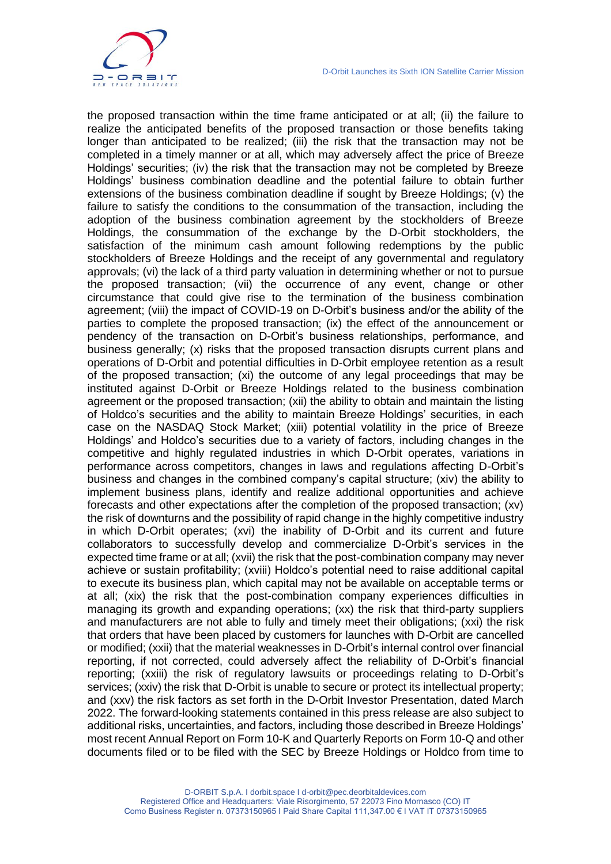

the proposed transaction within the time frame anticipated or at all; (ii) the failure to realize the anticipated benefits of the proposed transaction or those benefits taking longer than anticipated to be realized; (iii) the risk that the transaction may not be completed in a timely manner or at all, which may adversely affect the price of Breeze Holdings' securities; (iv) the risk that the transaction may not be completed by Breeze Holdings' business combination deadline and the potential failure to obtain further extensions of the business combination deadline if sought by Breeze Holdings; (v) the failure to satisfy the conditions to the consummation of the transaction, including the adoption of the business combination agreement by the stockholders of Breeze Holdings, the consummation of the exchange by the D-Orbit stockholders, the satisfaction of the minimum cash amount following redemptions by the public stockholders of Breeze Holdings and the receipt of any governmental and regulatory approvals; (vi) the lack of a third party valuation in determining whether or not to pursue the proposed transaction; (vii) the occurrence of any event, change or other circumstance that could give rise to the termination of the business combination agreement; (viii) the impact of COVID-19 on D-Orbit's business and/or the ability of the parties to complete the proposed transaction; (ix) the effect of the announcement or pendency of the transaction on D-Orbit's business relationships, performance, and business generally; (x) risks that the proposed transaction disrupts current plans and operations of D-Orbit and potential difficulties in D-Orbit employee retention as a result of the proposed transaction; (xi) the outcome of any legal proceedings that may be instituted against D-Orbit or Breeze Holdings related to the business combination agreement or the proposed transaction; (xii) the ability to obtain and maintain the listing of Holdco's securities and the ability to maintain Breeze Holdings' securities, in each case on the NASDAQ Stock Market; (xiii) potential volatility in the price of Breeze Holdings' and Holdco's securities due to a variety of factors, including changes in the competitive and highly regulated industries in which D-Orbit operates, variations in performance across competitors, changes in laws and regulations affecting D-Orbit's business and changes in the combined company's capital structure; (xiv) the ability to implement business plans, identify and realize additional opportunities and achieve forecasts and other expectations after the completion of the proposed transaction; (xv) the risk of downturns and the possibility of rapid change in the highly competitive industry in which D-Orbit operates; (xvi) the inability of D-Orbit and its current and future collaborators to successfully develop and commercialize D-Orbit's services in the expected time frame or at all; (xvii) the risk that the post-combination company may never achieve or sustain profitability; (xviii) Holdco's potential need to raise additional capital to execute its business plan, which capital may not be available on acceptable terms or at all; (xix) the risk that the post-combination company experiences difficulties in managing its growth and expanding operations; (xx) the risk that third-party suppliers and manufacturers are not able to fully and timely meet their obligations; (xxi) the risk that orders that have been placed by customers for launches with D-Orbit are cancelled or modified; (xxii) that the material weaknesses in D-Orbit's internal control over financial reporting, if not corrected, could adversely affect the reliability of D-Orbit's financial reporting; (xxiii) the risk of regulatory lawsuits or proceedings relating to D-Orbit's services; (xxiv) the risk that D-Orbit is unable to secure or protect its intellectual property; and (xxv) the risk factors as set forth in the D-Orbit Investor Presentation, dated March 2022. The forward-looking statements contained in this press release are also subject to additional risks, uncertainties, and factors, including those described in Breeze Holdings' most recent Annual Report on Form 10-K and Quarterly Reports on Form 10-Q and other documents filed or to be filed with the SEC by Breeze Holdings or Holdco from time to